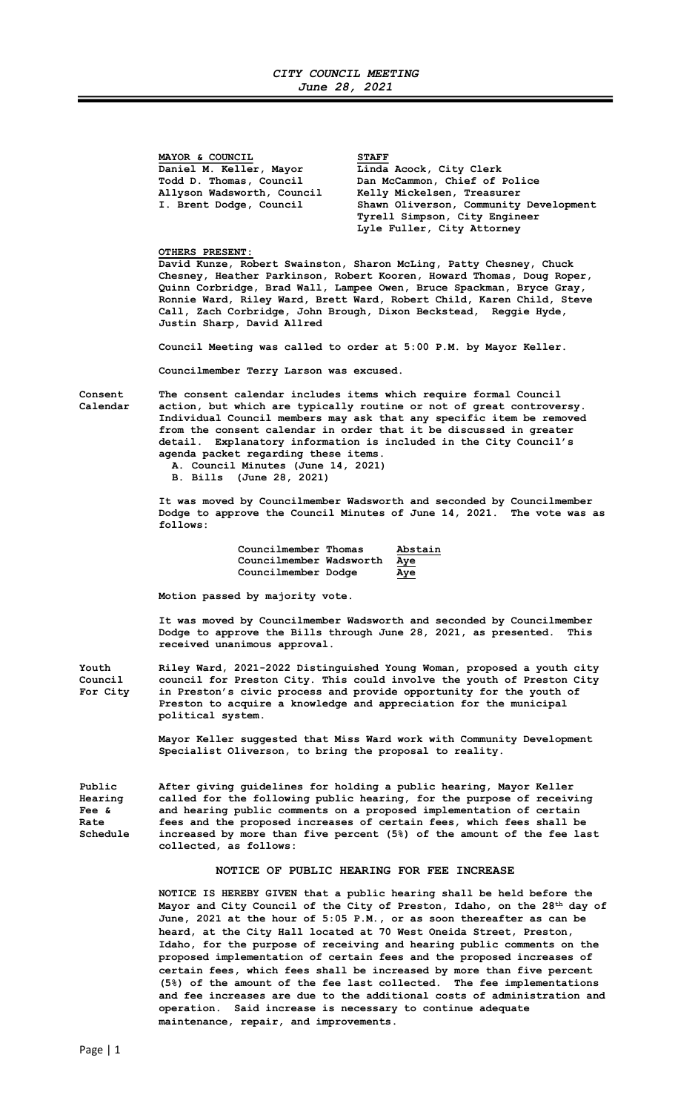MAYOR & COUNCIL<br>Daniel M. Keller, Mayor Linda Daniel M. Keller, Mayor Linda Acock, City Clerk<br>Todd D. Thomas, Council Dan McCammon, Chief of Allyson Wadsworth, Council<br>I. Brent Dodge, Council

Dan McCammon, Chief of Police<br>Kelly Mickelsen, Treasurer Shawn Oliverson, Community Development Tyrell Simpson, City Engineer Lyle Fuller, City Attorney

## OTHERS PRESENT:

David Kunze, Robert Swainston, Sharon McLing, Patty Chesney, Chuck Chesney, Heather Parkinson, Robert Kooren, Howard Thomas, Doug Roper, Quinn Corbridge, Brad Wall, Lampee Owen, Bruce Spackman, Bryce Gray, Ronnie Ward, Riley Ward, Brett Ward, Robert Child, Karen Child, Steve Call, Zach Corbridge, John Brough, Dixon Beckstead, Reggie Hyde, Justin Sharp, David Allred

Council Meeting was called to order at 5:00 P.M. by Mayor Keller.

Councilmember Terry Larson was excused.

Consent The consent calendar includes items which require formal Council Calendar action, but which are typically routine or not of great controversy. Individual Council members may ask that any specific item be removed from the consent calendar in order that it be discussed in greater detail. Explanatory information is included in the City Council's agenda packet regarding these items.

A. Council Minutes (June 14, 2021)

B. Bills (June 28, 2021)

 It was moved by Councilmember Wadsworth and seconded by Councilmember Dodge to approve the Council Minutes of June 14, 2021. The vote was as follows:

> Councilmember Thomas Abstain Councilmember Wadsworth Aye Councilmember Dodge Aye

Motion passed by majority vote.

 It was moved by Councilmember Wadsworth and seconded by Councilmember Dodge to approve the Bills through June 28, 2021, as presented. This received unanimous approval.

Youth Riley Ward, 2021-2022 Distinguished Young Woman, proposed a youth city Council council for Preston City. This could involve the youth of Preston City For City in Preston's civic process and provide opportunity for the youth of Preston to acquire a knowledge and appreciation for the municipal political system.

> Mayor Keller suggested that Miss Ward work with Community Development Specialist Oliverson, to bring the proposal to reality.

Public After giving guidelines for holding a public hearing, Mayor Keller Hearing called for the following public hearing, for the purpose of receiving Fee & and hearing public comments on a proposed implementation of certain<br>Rate 695 and the proposed increases of certain fees, which fees shall be fees and the proposed increases of certain fees, which fees shall be Schedule increased by more than five percent (5%) of the amount of the fee last collected, as follows:

## NOTICE OF PUBLIC HEARING FOR FEE INCREASE

 NOTICE IS HEREBY GIVEN that a public hearing shall be held before the Mayor and City Council of the City of Preston, Idaho, on the 28th day of June, 2021 at the hour of 5:05 P.M., or as soon thereafter as can be heard, at the City Hall located at 70 West Oneida Street, Preston, Idaho, for the purpose of receiving and hearing public comments on the proposed implementation of certain fees and the proposed increases of certain fees, which fees shall be increased by more than five percent (5%) of the amount of the fee last collected. The fee implementations and fee increases are due to the additional costs of administration and operation. Said increase is necessary to continue adequate maintenance, repair, and improvements.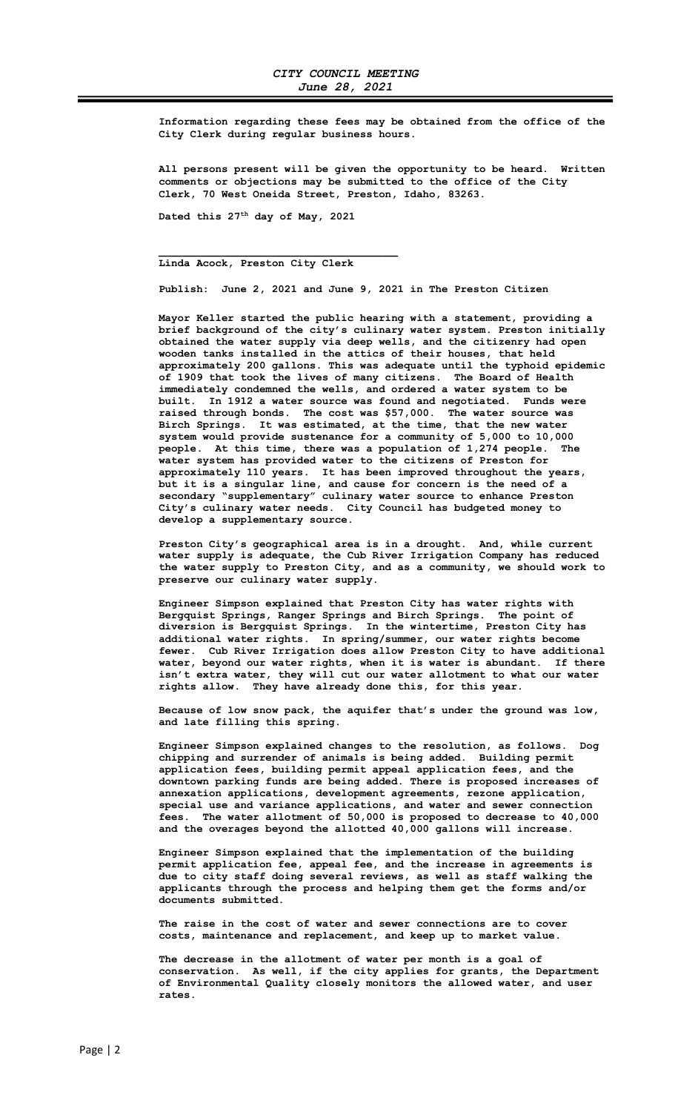Information regarding these fees may be obtained from the office of the City Clerk during regular business hours.

 All persons present will be given the opportunity to be heard. Written comments or objections may be submitted to the office of the City Clerk, 70 West Oneida Street, Preston, Idaho, 83263.

Dated this 27<sup>th</sup> day of May, 2021

## Linda Acock, Preston City Clerk

 $\mathcal{L}_\text{max} = \frac{1}{2} \sum_{i=1}^{n} \frac{1}{2} \sum_{i=1}^{n} \frac{1}{2} \sum_{i=1}^{n} \frac{1}{2} \sum_{i=1}^{n} \frac{1}{2} \sum_{i=1}^{n} \frac{1}{2} \sum_{i=1}^{n} \frac{1}{2} \sum_{i=1}^{n} \frac{1}{2} \sum_{i=1}^{n} \frac{1}{2} \sum_{i=1}^{n} \frac{1}{2} \sum_{i=1}^{n} \frac{1}{2} \sum_{i=1}^{n} \frac{1}{2} \sum_{i=1}^{n} \frac{1$ 

Publish: June 2, 2021 and June 9, 2021 in The Preston Citizen

 Mayor Keller started the public hearing with a statement, providing a brief background of the city's culinary water system. Preston initially obtained the water supply via deep wells, and the citizenry had open wooden tanks installed in the attics of their houses, that held approximately 200 gallons. This was adequate until the typhoid epidemic of 1909 that took the lives of many citizens. The Board of Health immediately condemned the wells, and ordered a water system to be built. In 1912 a water source was found and negotiated. Funds were raised through bonds. The cost was \$57,000. The water source was Birch Springs. It was estimated, at the time, that the new water system would provide sustenance for a community of 5,000 to 10,000 people. At this time, there was a population of 1,274 people. The water system has provided water to the citizens of Preston for approximately 110 years. It has been improved throughout the years, but it is a singular line, and cause for concern is the need of a secondary "supplementary" culinary water source to enhance Preston City's culinary water needs. City Council has budgeted money to develop a supplementary source.

 Preston City's geographical area is in a drought. And, while current water supply is adequate, the Cub River Irrigation Company has reduced the water supply to Preston City, and as a community, we should work to preserve our culinary water supply.

 Engineer Simpson explained that Preston City has water rights with Bergquist Springs, Ranger Springs and Birch Springs. The point of diversion is Bergquist Springs. In the wintertime, Preston City has additional water rights. In spring/summer, our water rights become fewer. Cub River Irrigation does allow Preston City to have additional water, beyond our water rights, when it is water is abundant. If there isn't extra water, they will cut our water allotment to what our water rights allow. They have already done this, for this year.

 Because of low snow pack, the aquifer that's under the ground was low, and late filling this spring.

 Engineer Simpson explained changes to the resolution, as follows. Dog chipping and surrender of animals is being added. Building permit application fees, building permit appeal application fees, and the downtown parking funds are being added. There is proposed increases of annexation applications, development agreements, rezone application, special use and variance applications, and water and sewer connection fees. The water allotment of 50,000 is proposed to decrease to 40,000 and the overages beyond the allotted 40,000 gallons will increase.

 Engineer Simpson explained that the implementation of the building permit application fee, appeal fee, and the increase in agreements is due to city staff doing several reviews, as well as staff walking the applicants through the process and helping them get the forms and/or documents submitted.

 The raise in the cost of water and sewer connections are to cover costs, maintenance and replacement, and keep up to market value.

 The decrease in the allotment of water per month is a goal of conservation. As well, if the city applies for grants, the Department of Environmental Quality closely monitors the allowed water, and user rates.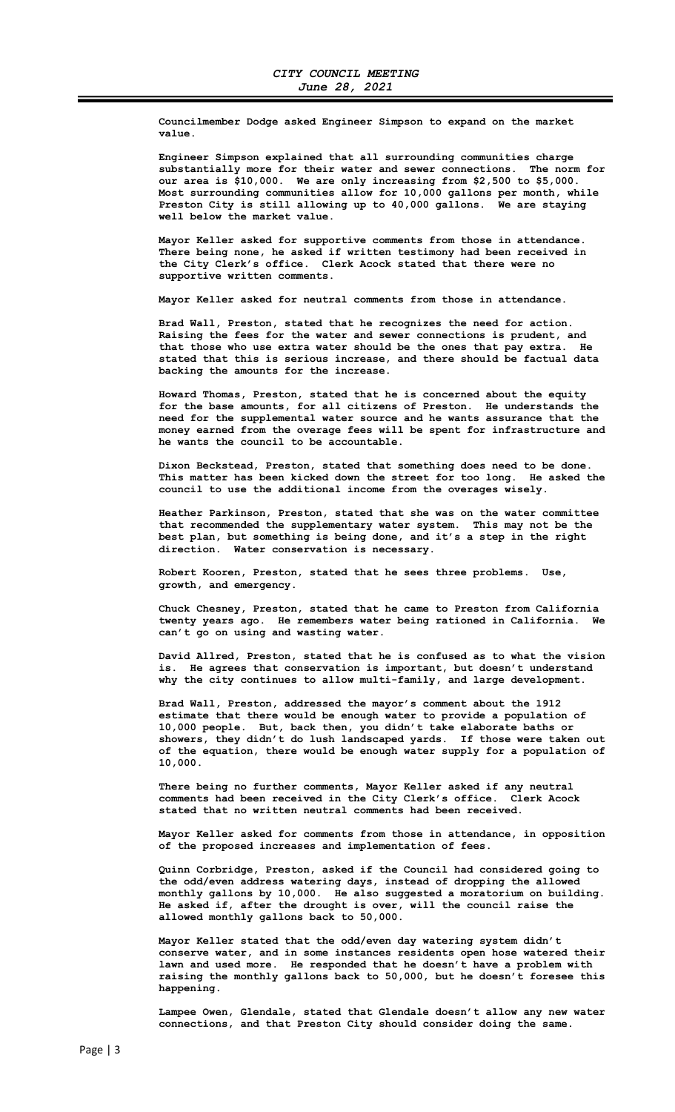Councilmember Dodge asked Engineer Simpson to expand on the market value.

 Engineer Simpson explained that all surrounding communities charge substantially more for their water and sewer connections. The norm for our area is \$10,000. We are only increasing from \$2,500 to \$5,000. Most surrounding communities allow for 10,000 gallons per month, while Preston City is still allowing up to 40,000 gallons. We are staying well below the market value.

 Mayor Keller asked for supportive comments from those in attendance. There being none, he asked if written testimony had been received in the City Clerk's office. Clerk Acock stated that there were no supportive written comments.

Mayor Keller asked for neutral comments from those in attendance.

 Brad Wall, Preston, stated that he recognizes the need for action. Raising the fees for the water and sewer connections is prudent, and that those who use extra water should be the ones that pay extra. He stated that this is serious increase, and there should be factual data backing the amounts for the increase.

 Howard Thomas, Preston, stated that he is concerned about the equity for the base amounts, for all citizens of Preston. He understands the need for the supplemental water source and he wants assurance that the money earned from the overage fees will be spent for infrastructure and he wants the council to be accountable.

 Dixon Beckstead, Preston, stated that something does need to be done. This matter has been kicked down the street for too long. He asked the council to use the additional income from the overages wisely.

 Heather Parkinson, Preston, stated that she was on the water committee that recommended the supplementary water system. This may not be the best plan, but something is being done, and it's a step in the right direction. Water conservation is necessary.

 Robert Kooren, Preston, stated that he sees three problems. Use, growth, and emergency.

 Chuck Chesney, Preston, stated that he came to Preston from California twenty years ago. He remembers water being rationed in California. We can't go on using and wasting water.

 David Allred, Preston, stated that he is confused as to what the vision is. He agrees that conservation is important, but doesn't understand why the city continues to allow multi-family, and large development.

 Brad Wall, Preston, addressed the mayor's comment about the 1912 estimate that there would be enough water to provide a population of 10,000 people. But, back then, you didn't take elaborate baths or showers, they didn't do lush landscaped yards. If those were taken out of the equation, there would be enough water supply for a population of 10,000.

 There being no further comments, Mayor Keller asked if any neutral comments had been received in the City Clerk's office. Clerk Acock stated that no written neutral comments had been received.

 Mayor Keller asked for comments from those in attendance, in opposition of the proposed increases and implementation of fees.

 Quinn Corbridge, Preston, asked if the Council had considered going to the odd/even address watering days, instead of dropping the allowed monthly gallons by 10,000. He also suggested a moratorium on building. He asked if, after the drought is over, will the council raise the allowed monthly gallons back to 50,000.

 Mayor Keller stated that the odd/even day watering system didn't conserve water, and in some instances residents open hose watered their lawn and used more. He responded that he doesn't have a problem with raising the monthly gallons back to 50,000, but he doesn't foresee this happening.

 Lampee Owen, Glendale, stated that Glendale doesn't allow any new water connections, and that Preston City should consider doing the same.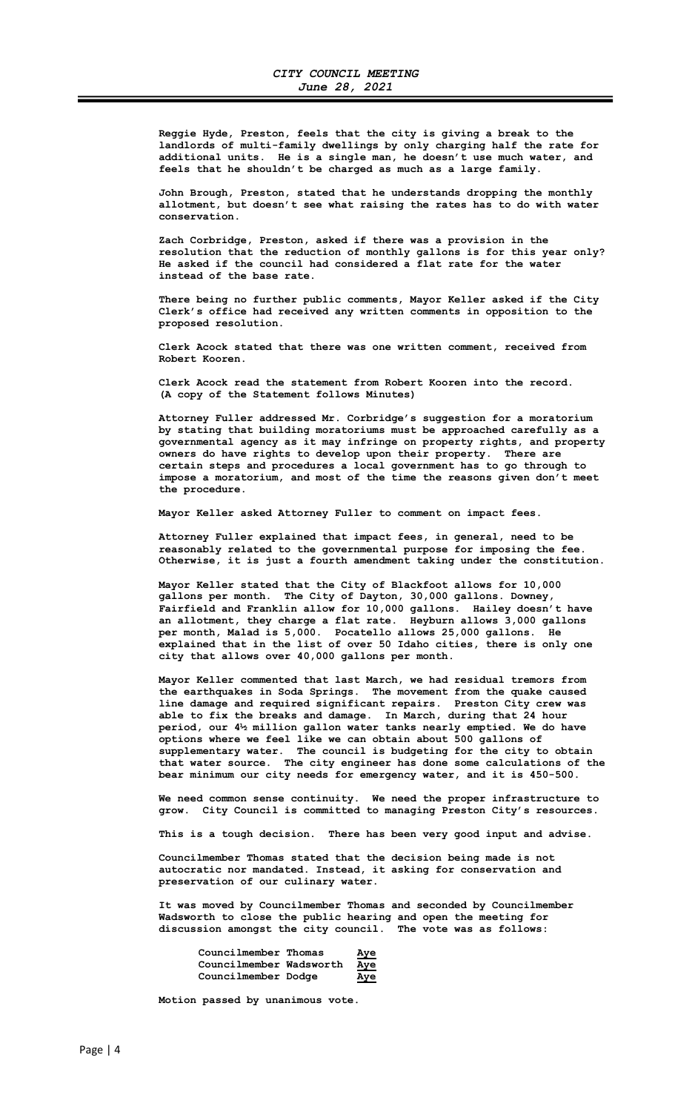Reggie Hyde, Preston, feels that the city is giving a break to the landlords of multi-family dwellings by only charging half the rate for additional units. He is a single man, he doesn't use much water, and feels that he shouldn't be charged as much as a large family.

 John Brough, Preston, stated that he understands dropping the monthly allotment, but doesn't see what raising the rates has to do with water conservation.

 Zach Corbridge, Preston, asked if there was a provision in the resolution that the reduction of monthly gallons is for this year only? He asked if the council had considered a flat rate for the water instead of the base rate.

> There being no further public comments, Mayor Keller asked if the City Clerk's office had received any written comments in opposition to the proposed resolution.

 Clerk Acock stated that there was one written comment, received from Robert Kooren.

 Clerk Acock read the statement from Robert Kooren into the record. (A copy of the Statement follows Minutes)

 Attorney Fuller addressed Mr. Corbridge's suggestion for a moratorium by stating that building moratoriums must be approached carefully as a governmental agency as it may infringe on property rights, and property owners do have rights to develop upon their property. There are certain steps and procedures a local government has to go through to impose a moratorium, and most of the time the reasons given don't meet the procedure.

Mayor Keller asked Attorney Fuller to comment on impact fees.

 Attorney Fuller explained that impact fees, in general, need to be reasonably related to the governmental purpose for imposing the fee. Otherwise, it is just a fourth amendment taking under the constitution.

 Mayor Keller stated that the City of Blackfoot allows for 10,000 gallons per month. The City of Dayton, 30,000 gallons. Downey, Fairfield and Franklin allow for 10,000 gallons. Hailey doesn't have an allotment, they charge a flat rate. Heyburn allows 3,000 gallons per month, Malad is 5,000. Pocatello allows 25,000 gallons. He explained that in the list of over 50 Idaho cities, there is only one city that allows over 40,000 gallons per month.

 Mayor Keller commented that last March, we had residual tremors from the earthquakes in Soda Springs. The movement from the quake caused line damage and required significant repairs. Preston City crew was able to fix the breaks and damage. In March, during that 24 hour period, our 4½ million gallon water tanks nearly emptied. We do have options where we feel like we can obtain about 500 gallons of supplementary water. The council is budgeting for the city to obtain that water source. The city engineer has done some calculations of the bear minimum our city needs for emergency water, and it is 450-500.

 We need common sense continuity. We need the proper infrastructure to grow. City Council is committed to managing Preston City's resources.

This is a tough decision. There has been very good input and advise.

 Councilmember Thomas stated that the decision being made is not autocratic nor mandated. Instead, it asking for conservation and preservation of our culinary water.

 It was moved by Councilmember Thomas and seconded by Councilmember Wadsworth to close the public hearing and open the meeting for discussion amongst the city council. The vote was as follows:

| Councilmember Thomas    | Aye        |
|-------------------------|------------|
| Councilmember Wadsworth | <u>Aye</u> |
| Councilmember Dodge     | Aye        |

Motion passed by unanimous vote.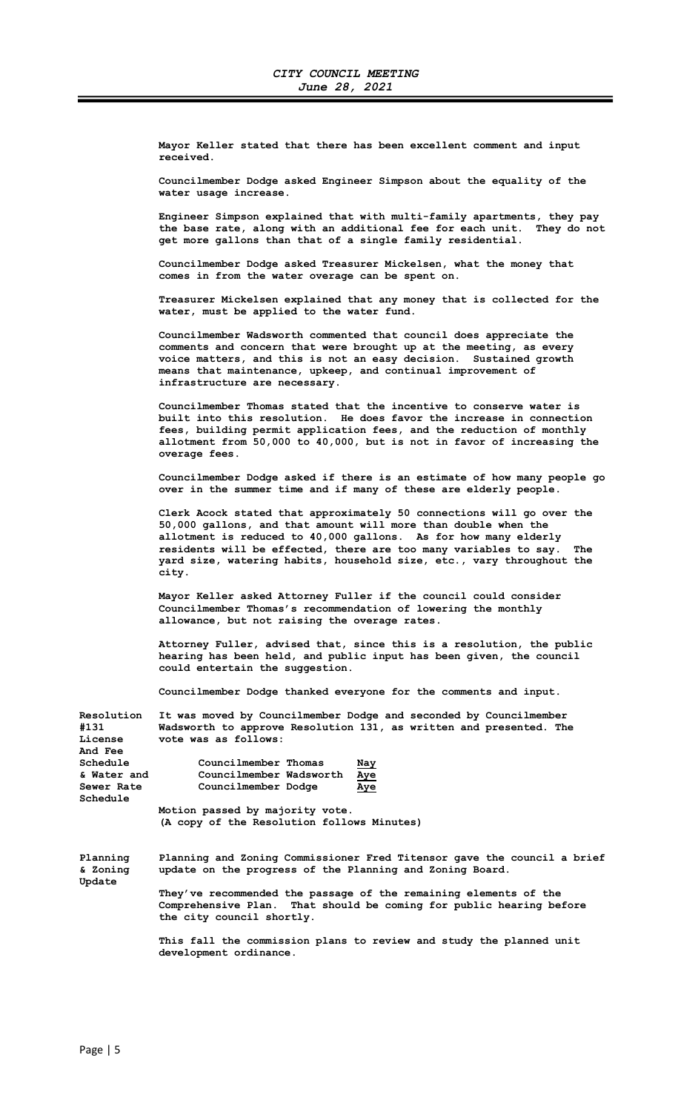Mayor Keller stated that there has been excellent comment and input received.

 Councilmember Dodge asked Engineer Simpson about the equality of the water usage increase.

 Engineer Simpson explained that with multi-family apartments, they pay the base rate, along with an additional fee for each unit. They do not get more gallons than that of a single family residential.

 Councilmember Dodge asked Treasurer Mickelsen, what the money that comes in from the water overage can be spent on.

 Treasurer Mickelsen explained that any money that is collected for the water, must be applied to the water fund.

 Councilmember Wadsworth commented that council does appreciate the comments and concern that were brought up at the meeting, as every voice matters, and this is not an easy decision. Sustained growth means that maintenance, upkeep, and continual improvement of infrastructure are necessary.

 Councilmember Thomas stated that the incentive to conserve water is built into this resolution. He does favor the increase in connection fees, building permit application fees, and the reduction of monthly allotment from 50,000 to 40,000, but is not in favor of increasing the overage fees.

 Councilmember Dodge asked if there is an estimate of how many people go over in the summer time and if many of these are elderly people.

 Clerk Acock stated that approximately 50 connections will go over the 50,000 gallons, and that amount will more than double when the allotment is reduced to 40,000 gallons. As for how many elderly residents will be effected, there are too many variables to say. The yard size, watering habits, household size, etc., vary throughout the city.

 Mayor Keller asked Attorney Fuller if the council could consider Councilmember Thomas's recommendation of lowering the monthly allowance, but not raising the overage rates.

 Attorney Fuller, advised that, since this is a resolution, the public hearing has been held, and public input has been given, the council could entertain the suggestion.

Councilmember Dodge thanked everyone for the comments and input.

| <b>Resolution</b><br>#131<br>License<br><b>And Fee</b> | It was moved by Councilmember Dodge and seconded by Councilmember<br>Wadsworth to approve Resolution 131, as written and presented. The<br>vote was as follows:      |  |  |  |  |
|--------------------------------------------------------|----------------------------------------------------------------------------------------------------------------------------------------------------------------------|--|--|--|--|
| Schedule                                               | Councilmember Thomas<br><u>Nay</u>                                                                                                                                   |  |  |  |  |
| & Water and                                            | Councilmember Wadsworth Aye                                                                                                                                          |  |  |  |  |
| Sewer Rate                                             | Councilmember Dodge<br>Aye                                                                                                                                           |  |  |  |  |
| Schedule                                               |                                                                                                                                                                      |  |  |  |  |
| Motion passed by majority vote.                        |                                                                                                                                                                      |  |  |  |  |
|                                                        | (A copy of the Resolution follows Minutes)                                                                                                                           |  |  |  |  |
| Planning<br>& Zoning<br>Update                         | Planning and Zoning Commissioner Fred Titensor gave the council a brief<br>update on the progress of the Planning and Zoning Board.                                  |  |  |  |  |
|                                                        | They've recommended the passage of the remaining elements of the<br>Comprehensive Plan. That should be coming for public hearing before<br>the city council shortly. |  |  |  |  |
|                                                        | This fall the commission plans to review and study the planned unit<br>development ordinance.                                                                        |  |  |  |  |